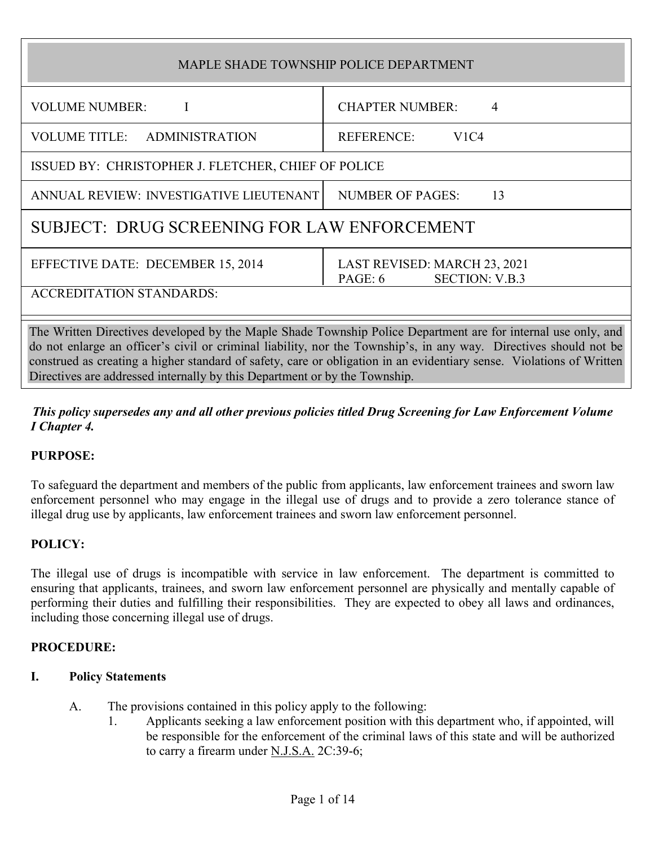| MAPLE SHADE TOWNSHIP POLICE DEPARTMENT                                                                                                                                                                                           |                                                                  |
|----------------------------------------------------------------------------------------------------------------------------------------------------------------------------------------------------------------------------------|------------------------------------------------------------------|
| <b>VOLUME NUMBER:</b>                                                                                                                                                                                                            | <b>CHAPTER NUMBER:</b><br>$\overline{4}$                         |
| VOLUME TITLE: ADMINISTRATION                                                                                                                                                                                                     | REFERENCE:<br>V1C4                                               |
| ISSUED BY: CHRISTOPHER J. FLETCHER, CHIEF OF POLICE                                                                                                                                                                              |                                                                  |
| ANNUAL REVIEW: INVESTIGATIVE LIEUTENANT                                                                                                                                                                                          | <b>NUMBER OF PAGES:</b><br>13                                    |
| SUBJECT: DRUG SCREENING FOR LAW ENFORCEMENT                                                                                                                                                                                      |                                                                  |
| EFFECTIVE DATE: DECEMBER 15, 2014                                                                                                                                                                                                | LAST REVISED: MARCH 23, 2021<br><b>SECTION: V.B.3</b><br>PAGE: 6 |
| <b>ACCREDITATION STANDARDS:</b>                                                                                                                                                                                                  |                                                                  |
| The Written Directives developed by the Maple Shade Township Police Department are for internal use only, and<br>do not enlarge an officer's civil or criminal liability nor the Township's in any way. Directives should not be |                                                                  |

do not enlarge an officer's civil or criminal liability, nor the Township's, in any way. Directives should not be construed as creating a higher standard of safety, care or obligation in an evidentiary sense. Violations of Written Directives are addressed internally by this Department or by the Township.

## This policy supersedes any and all other previous policies titled Drug Screening for Law Enforcement Volume I Chapter 4.

# PURPOSE:

To safeguard the department and members of the public from applicants, law enforcement trainees and sworn law enforcement personnel who may engage in the illegal use of drugs and to provide a zero tolerance stance of illegal drug use by applicants, law enforcement trainees and sworn law enforcement personnel.

# POLICY:

The illegal use of drugs is incompatible with service in law enforcement. The department is committed to ensuring that applicants, trainees, and sworn law enforcement personnel are physically and mentally capable of performing their duties and fulfilling their responsibilities. They are expected to obey all laws and ordinances, including those concerning illegal use of drugs.

## PROCEDURE:

# I. Policy Statements

- A. The provisions contained in this policy apply to the following:
	- 1. Applicants seeking a law enforcement position with this department who, if appointed, will be responsible for the enforcement of the criminal laws of this state and will be authorized to carry a firearm under N.J.S.A. 2C:39-6;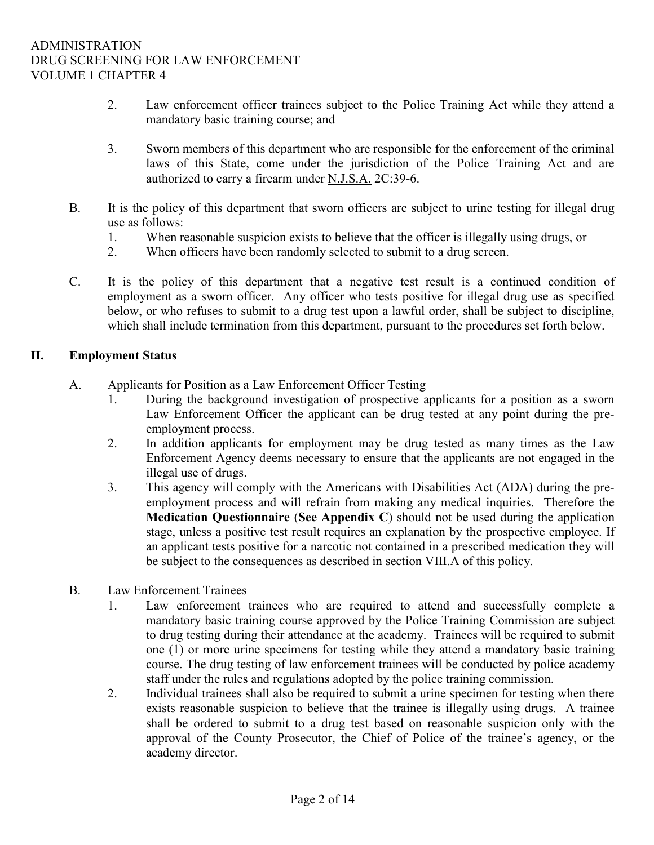- 2. Law enforcement officer trainees subject to the Police Training Act while they attend a mandatory basic training course; and
- 3. Sworn members of this department who are responsible for the enforcement of the criminal laws of this State, come under the jurisdiction of the Police Training Act and are authorized to carry a firearm under N.J.S.A. 2C:39-6.
- B. It is the policy of this department that sworn officers are subject to urine testing for illegal drug use as follows:
	- 1. When reasonable suspicion exists to believe that the officer is illegally using drugs, or
	- 2. When officers have been randomly selected to submit to a drug screen.
- C. It is the policy of this department that a negative test result is a continued condition of employment as a sworn officer. Any officer who tests positive for illegal drug use as specified below, or who refuses to submit to a drug test upon a lawful order, shall be subject to discipline, which shall include termination from this department, pursuant to the procedures set forth below.

### II. Employment Status

- A. Applicants for Position as a Law Enforcement Officer Testing
	- 1. During the background investigation of prospective applicants for a position as a sworn Law Enforcement Officer the applicant can be drug tested at any point during the preemployment process.
	- 2. In addition applicants for employment may be drug tested as many times as the Law Enforcement Agency deems necessary to ensure that the applicants are not engaged in the illegal use of drugs.
	- 3. This agency will comply with the Americans with Disabilities Act (ADA) during the preemployment process and will refrain from making any medical inquiries. Therefore the Medication Questionnaire (See Appendix C) should not be used during the application stage, unless a positive test result requires an explanation by the prospective employee. If an applicant tests positive for a narcotic not contained in a prescribed medication they will be subject to the consequences as described in section VIII.A of this policy.
- B. Law Enforcement Trainees
	- 1. Law enforcement trainees who are required to attend and successfully complete a mandatory basic training course approved by the Police Training Commission are subject to drug testing during their attendance at the academy. Trainees will be required to submit one (1) or more urine specimens for testing while they attend a mandatory basic training course. The drug testing of law enforcement trainees will be conducted by police academy staff under the rules and regulations adopted by the police training commission.
	- 2. Individual trainees shall also be required to submit a urine specimen for testing when there exists reasonable suspicion to believe that the trainee is illegally using drugs. A trainee shall be ordered to submit to a drug test based on reasonable suspicion only with the approval of the County Prosecutor, the Chief of Police of the trainee's agency, or the academy director.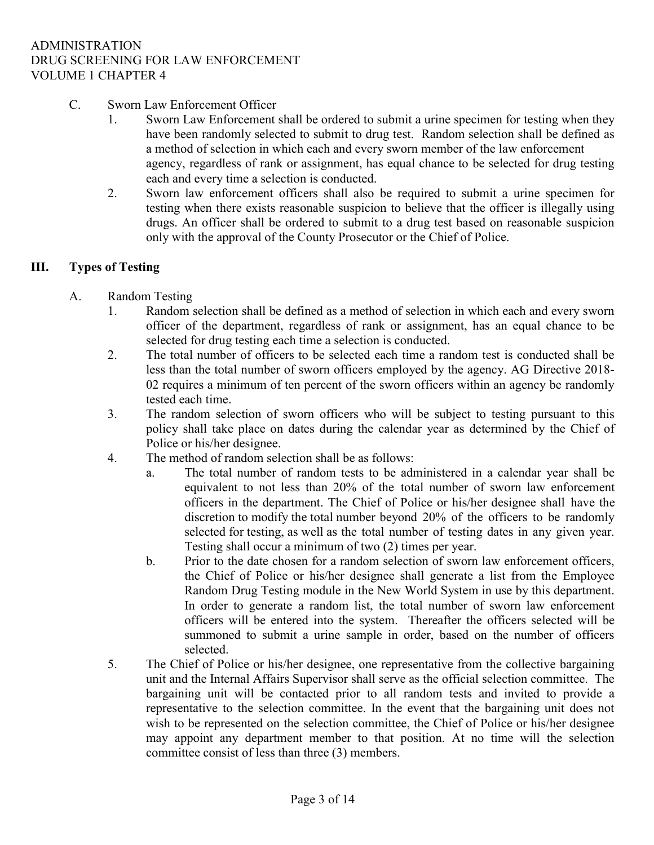- C. Sworn Law Enforcement Officer
	- 1. Sworn Law Enforcement shall be ordered to submit a urine specimen for testing when they have been randomly selected to submit to drug test. Random selection shall be defined as a method of selection in which each and every sworn member of the law enforcement agency, regardless of rank or assignment, has equal chance to be selected for drug testing each and every time a selection is conducted.
	- 2. Sworn law enforcement officers shall also be required to submit a urine specimen for testing when there exists reasonable suspicion to believe that the officer is illegally using drugs. An officer shall be ordered to submit to a drug test based on reasonable suspicion only with the approval of the County Prosecutor or the Chief of Police.

## III. Types of Testing

- A. Random Testing
	- 1. Random selection shall be defined as a method of selection in which each and every sworn officer of the department, regardless of rank or assignment, has an equal chance to be selected for drug testing each time a selection is conducted.
	- 2. The total number of officers to be selected each time a random test is conducted shall be less than the total number of sworn officers employed by the agency. AG Directive 2018- 02 requires a minimum of ten percent of the sworn officers within an agency be randomly tested each time.
	- 3. The random selection of sworn officers who will be subject to testing pursuant to this policy shall take place on dates during the calendar year as determined by the Chief of Police or his/her designee.
	- 4. The method of random selection shall be as follows:
		- a. The total number of random tests to be administered in a calendar year shall be equivalent to not less than 20% of the total number of sworn law enforcement officers in the department. The Chief of Police or his/her designee shall have the discretion to modify the total number beyond 20% of the officers to be randomly selected for testing, as well as the total number of testing dates in any given year. Testing shall occur a minimum of two (2) times per year.
		- b. Prior to the date chosen for a random selection of sworn law enforcement officers, the Chief of Police or his/her designee shall generate a list from the Employee Random Drug Testing module in the New World System in use by this department. In order to generate a random list, the total number of sworn law enforcement officers will be entered into the system. Thereafter the officers selected will be summoned to submit a urine sample in order, based on the number of officers selected.
	- 5. The Chief of Police or his/her designee, one representative from the collective bargaining unit and the Internal Affairs Supervisor shall serve as the official selection committee. The bargaining unit will be contacted prior to all random tests and invited to provide a representative to the selection committee. In the event that the bargaining unit does not wish to be represented on the selection committee, the Chief of Police or his/her designee may appoint any department member to that position. At no time will the selection committee consist of less than three (3) members.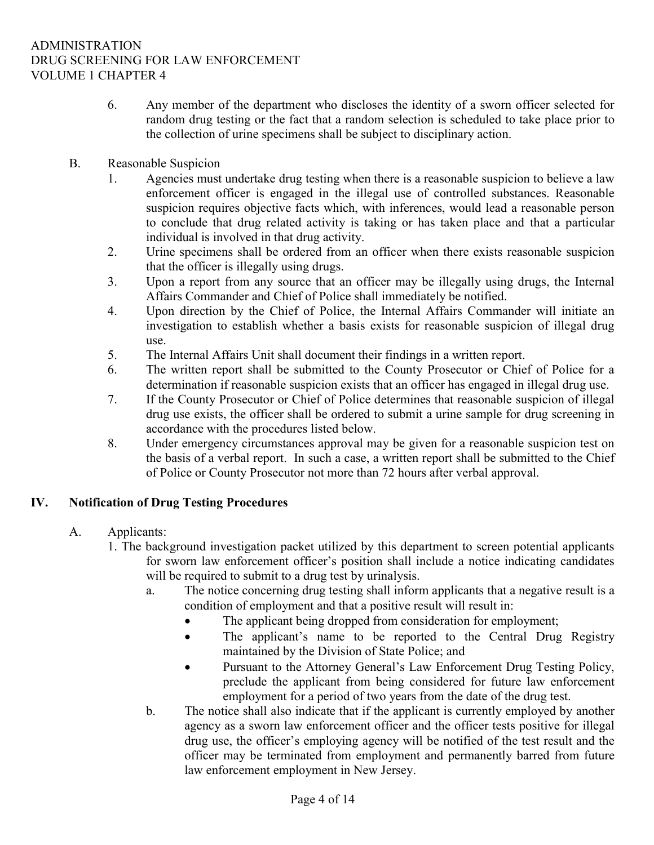- 6. Any member of the department who discloses the identity of a sworn officer selected for random drug testing or the fact that a random selection is scheduled to take place prior to the collection of urine specimens shall be subject to disciplinary action.
- B. Reasonable Suspicion
	- 1. Agencies must undertake drug testing when there is a reasonable suspicion to believe a law enforcement officer is engaged in the illegal use of controlled substances. Reasonable suspicion requires objective facts which, with inferences, would lead a reasonable person to conclude that drug related activity is taking or has taken place and that a particular individual is involved in that drug activity.
	- 2. Urine specimens shall be ordered from an officer when there exists reasonable suspicion that the officer is illegally using drugs.
	- 3. Upon a report from any source that an officer may be illegally using drugs, the Internal Affairs Commander and Chief of Police shall immediately be notified.
	- 4. Upon direction by the Chief of Police, the Internal Affairs Commander will initiate an investigation to establish whether a basis exists for reasonable suspicion of illegal drug use.
	- 5. The Internal Affairs Unit shall document their findings in a written report.
	- 6. The written report shall be submitted to the County Prosecutor or Chief of Police for a determination if reasonable suspicion exists that an officer has engaged in illegal drug use.
	- 7. If the County Prosecutor or Chief of Police determines that reasonable suspicion of illegal drug use exists, the officer shall be ordered to submit a urine sample for drug screening in accordance with the procedures listed below.
	- 8. Under emergency circumstances approval may be given for a reasonable suspicion test on the basis of a verbal report. In such a case, a written report shall be submitted to the Chief of Police or County Prosecutor not more than 72 hours after verbal approval.

## IV. Notification of Drug Testing Procedures

- A. Applicants:
	- 1. The background investigation packet utilized by this department to screen potential applicants for sworn law enforcement officer's position shall include a notice indicating candidates will be required to submit to a drug test by urinalysis.
		- a. The notice concerning drug testing shall inform applicants that a negative result is a condition of employment and that a positive result will result in:
			- The applicant being dropped from consideration for employment;
			- The applicant's name to be reported to the Central Drug Registry maintained by the Division of State Police; and
			- Pursuant to the Attorney General's Law Enforcement Drug Testing Policy, preclude the applicant from being considered for future law enforcement employment for a period of two years from the date of the drug test.
		- b. The notice shall also indicate that if the applicant is currently employed by another agency as a sworn law enforcement officer and the officer tests positive for illegal drug use, the officer's employing agency will be notified of the test result and the officer may be terminated from employment and permanently barred from future law enforcement employment in New Jersey.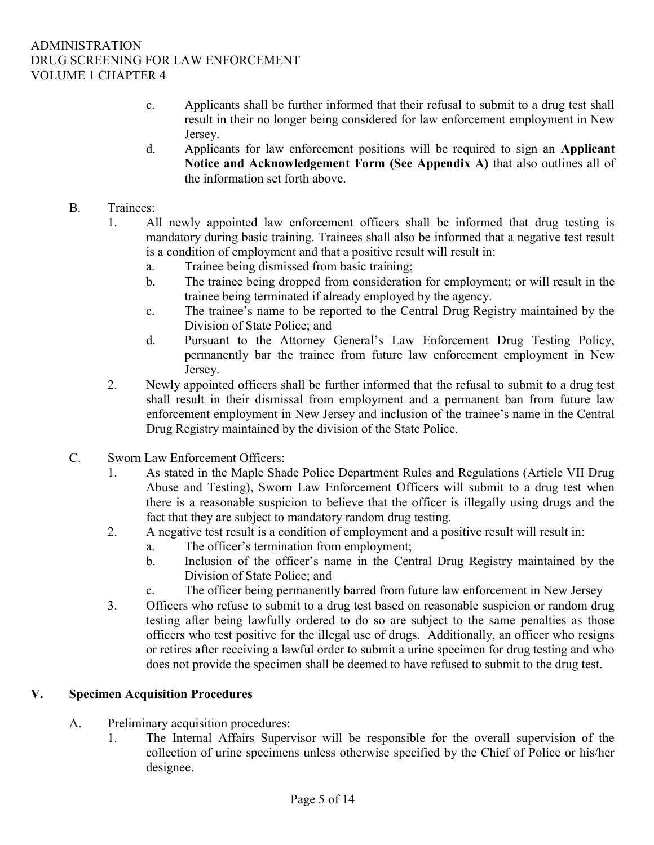- c. Applicants shall be further informed that their refusal to submit to a drug test shall result in their no longer being considered for law enforcement employment in New Jersey.
- d. Applicants for law enforcement positions will be required to sign an Applicant Notice and Acknowledgement Form (See Appendix A) that also outlines all of the information set forth above.
- B. Trainees:
	- 1. All newly appointed law enforcement officers shall be informed that drug testing is mandatory during basic training. Trainees shall also be informed that a negative test result is a condition of employment and that a positive result will result in:
		- a. Trainee being dismissed from basic training;
		- b. The trainee being dropped from consideration for employment; or will result in the trainee being terminated if already employed by the agency.
		- c. The trainee's name to be reported to the Central Drug Registry maintained by the Division of State Police; and
		- d. Pursuant to the Attorney General's Law Enforcement Drug Testing Policy, permanently bar the trainee from future law enforcement employment in New Jersey.
	- 2. Newly appointed officers shall be further informed that the refusal to submit to a drug test shall result in their dismissal from employment and a permanent ban from future law enforcement employment in New Jersey and inclusion of the trainee's name in the Central Drug Registry maintained by the division of the State Police.
- C. Sworn Law Enforcement Officers:
	- 1. As stated in the Maple Shade Police Department Rules and Regulations (Article VII Drug Abuse and Testing), Sworn Law Enforcement Officers will submit to a drug test when there is a reasonable suspicion to believe that the officer is illegally using drugs and the fact that they are subject to mandatory random drug testing.
	- 2. A negative test result is a condition of employment and a positive result will result in:
		- a. The officer's termination from employment;
		- b. Inclusion of the officer's name in the Central Drug Registry maintained by the Division of State Police; and
		- c. The officer being permanently barred from future law enforcement in New Jersey
	- 3. Officers who refuse to submit to a drug test based on reasonable suspicion or random drug testing after being lawfully ordered to do so are subject to the same penalties as those officers who test positive for the illegal use of drugs. Additionally, an officer who resigns or retires after receiving a lawful order to submit a urine specimen for drug testing and who does not provide the specimen shall be deemed to have refused to submit to the drug test.

### V. Specimen Acquisition Procedures

- A. Preliminary acquisition procedures:
	- 1. The Internal Affairs Supervisor will be responsible for the overall supervision of the collection of urine specimens unless otherwise specified by the Chief of Police or his/her designee.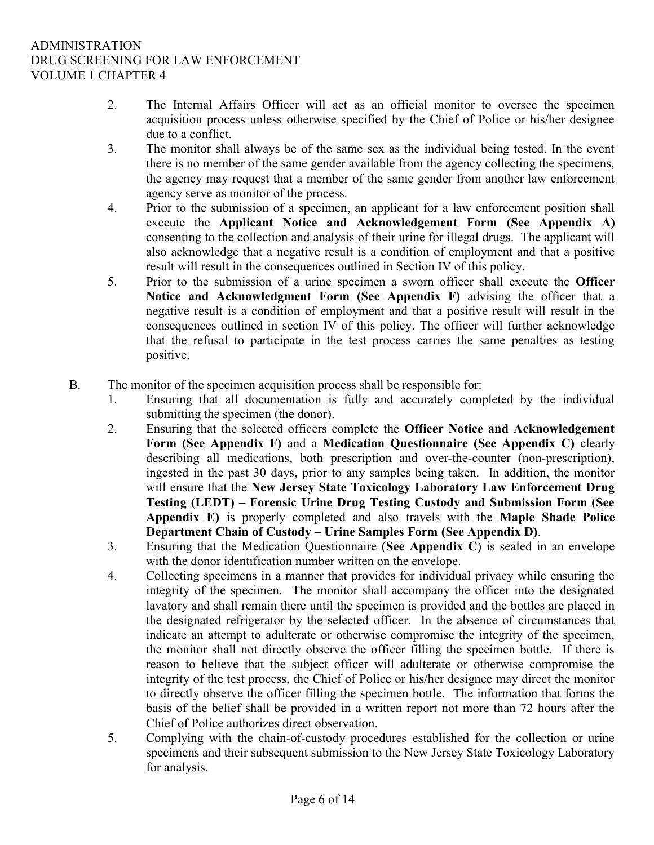- 2. The Internal Affairs Officer will act as an official monitor to oversee the specimen acquisition process unless otherwise specified by the Chief of Police or his/her designee due to a conflict.
- 3. The monitor shall always be of the same sex as the individual being tested. In the event there is no member of the same gender available from the agency collecting the specimens, the agency may request that a member of the same gender from another law enforcement agency serve as monitor of the process.
- 4. Prior to the submission of a specimen, an applicant for a law enforcement position shall execute the Applicant Notice and Acknowledgement Form (See Appendix A) consenting to the collection and analysis of their urine for illegal drugs. The applicant will also acknowledge that a negative result is a condition of employment and that a positive result will result in the consequences outlined in Section IV of this policy.
- 5. Prior to the submission of a urine specimen a sworn officer shall execute the Officer Notice and Acknowledgment Form (See Appendix F) advising the officer that a negative result is a condition of employment and that a positive result will result in the consequences outlined in section IV of this policy. The officer will further acknowledge that the refusal to participate in the test process carries the same penalties as testing positive.
- B. The monitor of the specimen acquisition process shall be responsible for:
	- 1. Ensuring that all documentation is fully and accurately completed by the individual submitting the specimen (the donor).
	- 2. Ensuring that the selected officers complete the Officer Notice and Acknowledgement Form (See Appendix F) and a Medication Questionnaire (See Appendix C) clearly describing all medications, both prescription and over-the-counter (non-prescription), ingested in the past 30 days, prior to any samples being taken. In addition, the monitor will ensure that the New Jersey State Toxicology Laboratory Law Enforcement Drug Testing (LEDT) – Forensic Urine Drug Testing Custody and Submission Form (See Appendix E) is properly completed and also travels with the Maple Shade Police Department Chain of Custody – Urine Samples Form (See Appendix D).
	- 3. Ensuring that the Medication Questionnaire (See Appendix C) is sealed in an envelope with the donor identification number written on the envelope.
	- 4. Collecting specimens in a manner that provides for individual privacy while ensuring the integrity of the specimen. The monitor shall accompany the officer into the designated lavatory and shall remain there until the specimen is provided and the bottles are placed in the designated refrigerator by the selected officer. In the absence of circumstances that indicate an attempt to adulterate or otherwise compromise the integrity of the specimen, the monitor shall not directly observe the officer filling the specimen bottle. If there is reason to believe that the subject officer will adulterate or otherwise compromise the integrity of the test process, the Chief of Police or his/her designee may direct the monitor to directly observe the officer filling the specimen bottle. The information that forms the basis of the belief shall be provided in a written report not more than 72 hours after the Chief of Police authorizes direct observation.
	- 5. Complying with the chain-of-custody procedures established for the collection or urine specimens and their subsequent submission to the New Jersey State Toxicology Laboratory for analysis.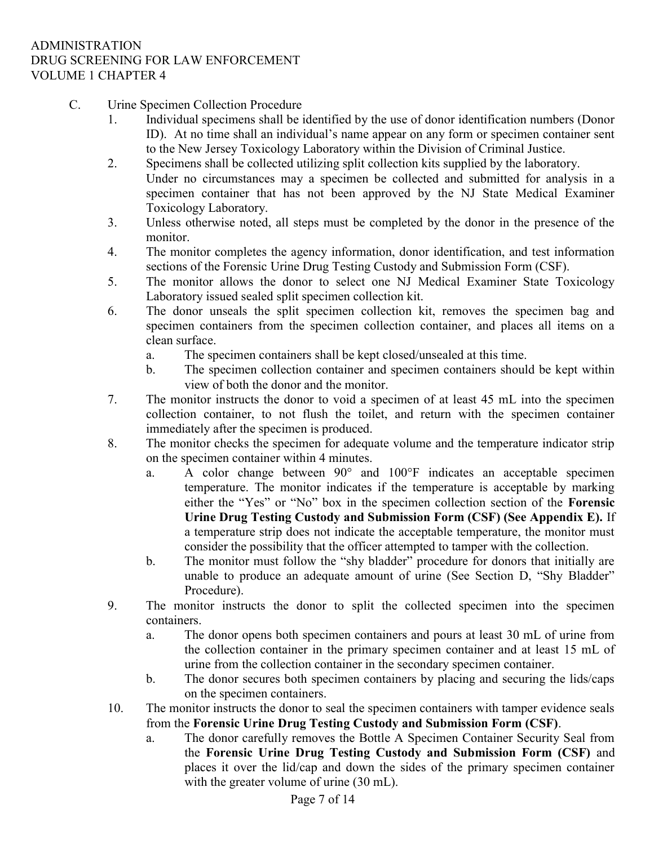- C. Urine Specimen Collection Procedure
	- 1. Individual specimens shall be identified by the use of donor identification numbers (Donor ID). At no time shall an individual's name appear on any form or specimen container sent to the New Jersey Toxicology Laboratory within the Division of Criminal Justice.
	- 2. Specimens shall be collected utilizing split collection kits supplied by the laboratory. Under no circumstances may a specimen be collected and submitted for analysis in a specimen container that has not been approved by the NJ State Medical Examiner Toxicology Laboratory.
	- 3. Unless otherwise noted, all steps must be completed by the donor in the presence of the monitor.
	- 4. The monitor completes the agency information, donor identification, and test information sections of the Forensic Urine Drug Testing Custody and Submission Form (CSF).
	- 5. The monitor allows the donor to select one NJ Medical Examiner State Toxicology Laboratory issued sealed split specimen collection kit.
	- 6. The donor unseals the split specimen collection kit, removes the specimen bag and specimen containers from the specimen collection container, and places all items on a clean surface.
		- a. The specimen containers shall be kept closed/unsealed at this time.
		- b. The specimen collection container and specimen containers should be kept within view of both the donor and the monitor.
	- 7. The monitor instructs the donor to void a specimen of at least 45 mL into the specimen collection container, to not flush the toilet, and return with the specimen container immediately after the specimen is produced.
	- 8. The monitor checks the specimen for adequate volume and the temperature indicator strip on the specimen container within 4 minutes.
		- a. A color change between 90° and 100°F indicates an acceptable specimen temperature. The monitor indicates if the temperature is acceptable by marking either the "Yes" or "No" box in the specimen collection section of the Forensic Urine Drug Testing Custody and Submission Form (CSF) (See Appendix E). If a temperature strip does not indicate the acceptable temperature, the monitor must consider the possibility that the officer attempted to tamper with the collection.
		- b. The monitor must follow the "shy bladder" procedure for donors that initially are unable to produce an adequate amount of urine (See Section D, "Shy Bladder" Procedure).
	- 9. The monitor instructs the donor to split the collected specimen into the specimen containers.
		- a. The donor opens both specimen containers and pours at least 30 mL of urine from the collection container in the primary specimen container and at least 15 mL of urine from the collection container in the secondary specimen container.
		- b. The donor secures both specimen containers by placing and securing the lids/caps on the specimen containers.
	- 10. The monitor instructs the donor to seal the specimen containers with tamper evidence seals from the Forensic Urine Drug Testing Custody and Submission Form (CSF).
		- a. The donor carefully removes the Bottle A Specimen Container Security Seal from the Forensic Urine Drug Testing Custody and Submission Form (CSF) and places it over the lid/cap and down the sides of the primary specimen container with the greater volume of urine (30 mL).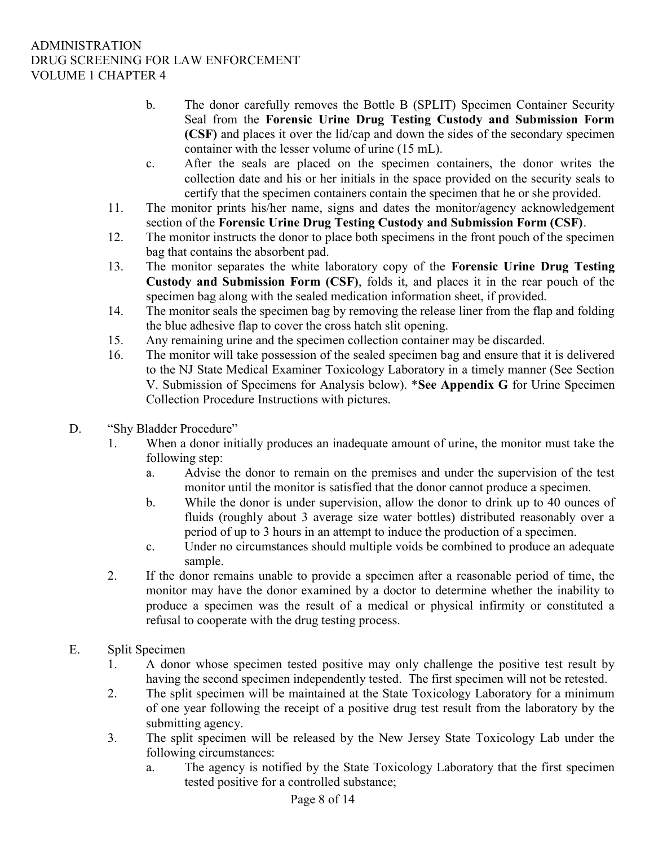- b. The donor carefully removes the Bottle B (SPLIT) Specimen Container Security Seal from the Forensic Urine Drug Testing Custody and Submission Form (CSF) and places it over the lid/cap and down the sides of the secondary specimen container with the lesser volume of urine (15 mL).
- c. After the seals are placed on the specimen containers, the donor writes the collection date and his or her initials in the space provided on the security seals to certify that the specimen containers contain the specimen that he or she provided.
- 11. The monitor prints his/her name, signs and dates the monitor/agency acknowledgement section of the Forensic Urine Drug Testing Custody and Submission Form (CSF).
- 12. The monitor instructs the donor to place both specimens in the front pouch of the specimen bag that contains the absorbent pad.
- 13. The monitor separates the white laboratory copy of the Forensic Urine Drug Testing Custody and Submission Form (CSF), folds it, and places it in the rear pouch of the specimen bag along with the sealed medication information sheet, if provided.
- 14. The monitor seals the specimen bag by removing the release liner from the flap and folding the blue adhesive flap to cover the cross hatch slit opening.
- 15. Any remaining urine and the specimen collection container may be discarded.
- 16. The monitor will take possession of the sealed specimen bag and ensure that it is delivered to the NJ State Medical Examiner Toxicology Laboratory in a timely manner (See Section V. Submission of Specimens for Analysis below). \*See Appendix G for Urine Specimen Collection Procedure Instructions with pictures.
- D. "Shy Bladder Procedure"
	- 1. When a donor initially produces an inadequate amount of urine, the monitor must take the following step:
		- a. Advise the donor to remain on the premises and under the supervision of the test monitor until the monitor is satisfied that the donor cannot produce a specimen.
		- b. While the donor is under supervision, allow the donor to drink up to 40 ounces of fluids (roughly about 3 average size water bottles) distributed reasonably over a period of up to 3 hours in an attempt to induce the production of a specimen.
		- c. Under no circumstances should multiple voids be combined to produce an adequate sample.
	- 2. If the donor remains unable to provide a specimen after a reasonable period of time, the monitor may have the donor examined by a doctor to determine whether the inability to produce a specimen was the result of a medical or physical infirmity or constituted a refusal to cooperate with the drug testing process.
- E. Split Specimen
	- 1. A donor whose specimen tested positive may only challenge the positive test result by having the second specimen independently tested. The first specimen will not be retested.
	- 2. The split specimen will be maintained at the State Toxicology Laboratory for a minimum of one year following the receipt of a positive drug test result from the laboratory by the submitting agency.
	- 3. The split specimen will be released by the New Jersey State Toxicology Lab under the following circumstances:
		- a. The agency is notified by the State Toxicology Laboratory that the first specimen tested positive for a controlled substance;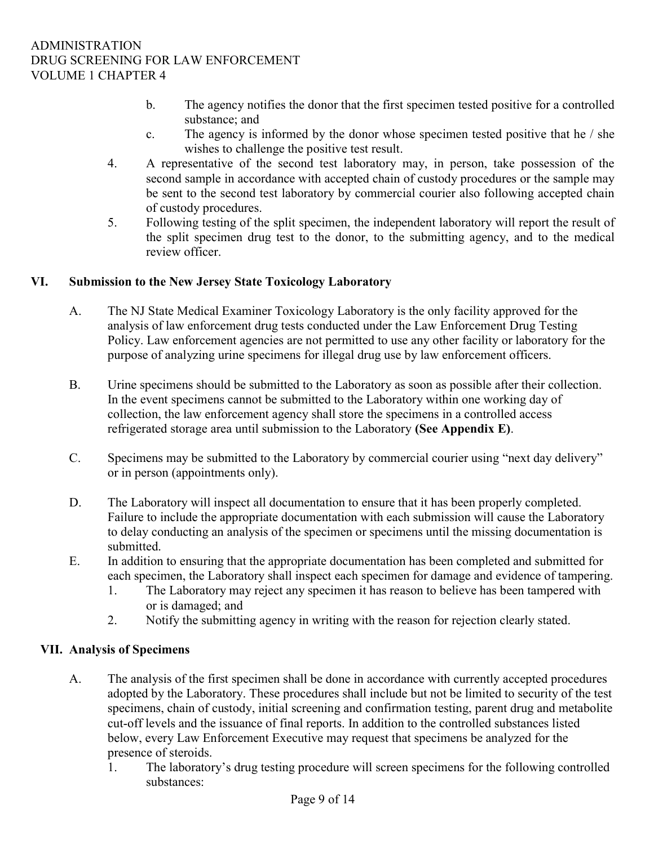- b. The agency notifies the donor that the first specimen tested positive for a controlled substance; and
- c. The agency is informed by the donor whose specimen tested positive that he / she wishes to challenge the positive test result.
- 4. A representative of the second test laboratory may, in person, take possession of the second sample in accordance with accepted chain of custody procedures or the sample may be sent to the second test laboratory by commercial courier also following accepted chain of custody procedures.
- 5. Following testing of the split specimen, the independent laboratory will report the result of the split specimen drug test to the donor, to the submitting agency, and to the medical review officer.

## VI. Submission to the New Jersey State Toxicology Laboratory

- A. The NJ State Medical Examiner Toxicology Laboratory is the only facility approved for the analysis of law enforcement drug tests conducted under the Law Enforcement Drug Testing Policy. Law enforcement agencies are not permitted to use any other facility or laboratory for the purpose of analyzing urine specimens for illegal drug use by law enforcement officers.
- B. Urine specimens should be submitted to the Laboratory as soon as possible after their collection. In the event specimens cannot be submitted to the Laboratory within one working day of collection, the law enforcement agency shall store the specimens in a controlled access refrigerated storage area until submission to the Laboratory (See Appendix E).
- C. Specimens may be submitted to the Laboratory by commercial courier using "next day delivery" or in person (appointments only).
- D. The Laboratory will inspect all documentation to ensure that it has been properly completed. Failure to include the appropriate documentation with each submission will cause the Laboratory to delay conducting an analysis of the specimen or specimens until the missing documentation is submitted.
- E. In addition to ensuring that the appropriate documentation has been completed and submitted for each specimen, the Laboratory shall inspect each specimen for damage and evidence of tampering.
	- 1. The Laboratory may reject any specimen it has reason to believe has been tampered with or is damaged; and
	- 2. Notify the submitting agency in writing with the reason for rejection clearly stated.

# VII. Analysis of Specimens

- A. The analysis of the first specimen shall be done in accordance with currently accepted procedures adopted by the Laboratory. These procedures shall include but not be limited to security of the test specimens, chain of custody, initial screening and confirmation testing, parent drug and metabolite cut-off levels and the issuance of final reports. In addition to the controlled substances listed below, every Law Enforcement Executive may request that specimens be analyzed for the presence of steroids.
	- 1. The laboratory's drug testing procedure will screen specimens for the following controlled substances: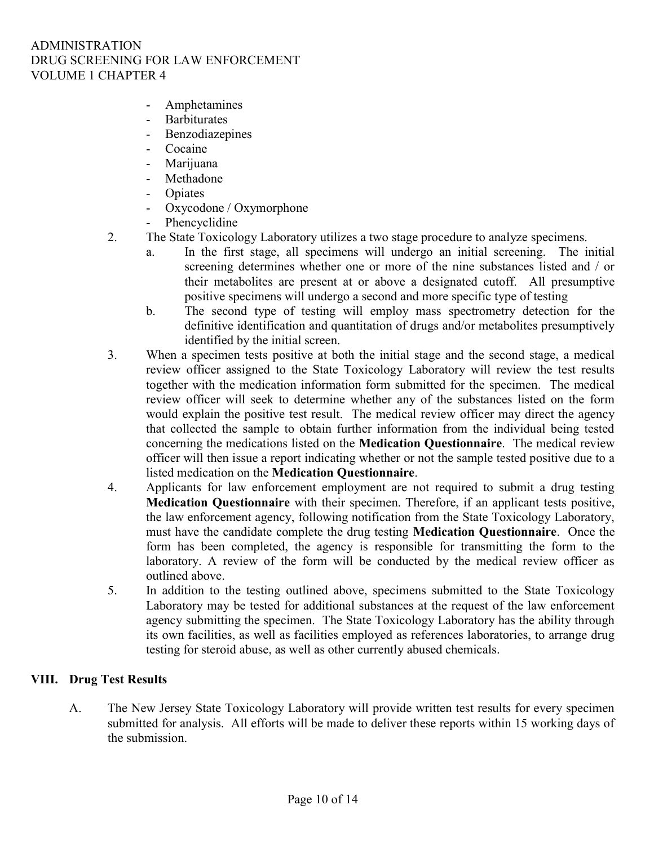- **Amphetamines**
- Barbiturates
- **Benzodiazepines**
- Cocaine
- Marijuana
- Methadone
- Opiates
- Oxycodone / Oxymorphone
- Phencyclidine
- 2. The State Toxicology Laboratory utilizes a two stage procedure to analyze specimens.
	- a. In the first stage, all specimens will undergo an initial screening. The initial screening determines whether one or more of the nine substances listed and / or their metabolites are present at or above a designated cutoff. All presumptive positive specimens will undergo a second and more specific type of testing
	- b. The second type of testing will employ mass spectrometry detection for the definitive identification and quantitation of drugs and/or metabolites presumptively identified by the initial screen.
- 3. When a specimen tests positive at both the initial stage and the second stage, a medical review officer assigned to the State Toxicology Laboratory will review the test results together with the medication information form submitted for the specimen. The medical review officer will seek to determine whether any of the substances listed on the form would explain the positive test result. The medical review officer may direct the agency that collected the sample to obtain further information from the individual being tested concerning the medications listed on the Medication Questionnaire. The medical review officer will then issue a report indicating whether or not the sample tested positive due to a listed medication on the Medication Questionnaire.
- 4. Applicants for law enforcement employment are not required to submit a drug testing Medication Questionnaire with their specimen. Therefore, if an applicant tests positive, the law enforcement agency, following notification from the State Toxicology Laboratory, must have the candidate complete the drug testing Medication Questionnaire. Once the form has been completed, the agency is responsible for transmitting the form to the laboratory. A review of the form will be conducted by the medical review officer as outlined above.
- 5. In addition to the testing outlined above, specimens submitted to the State Toxicology Laboratory may be tested for additional substances at the request of the law enforcement agency submitting the specimen. The State Toxicology Laboratory has the ability through its own facilities, as well as facilities employed as references laboratories, to arrange drug testing for steroid abuse, as well as other currently abused chemicals.

## VIII. Drug Test Results

A. The New Jersey State Toxicology Laboratory will provide written test results for every specimen submitted for analysis. All efforts will be made to deliver these reports within 15 working days of the submission.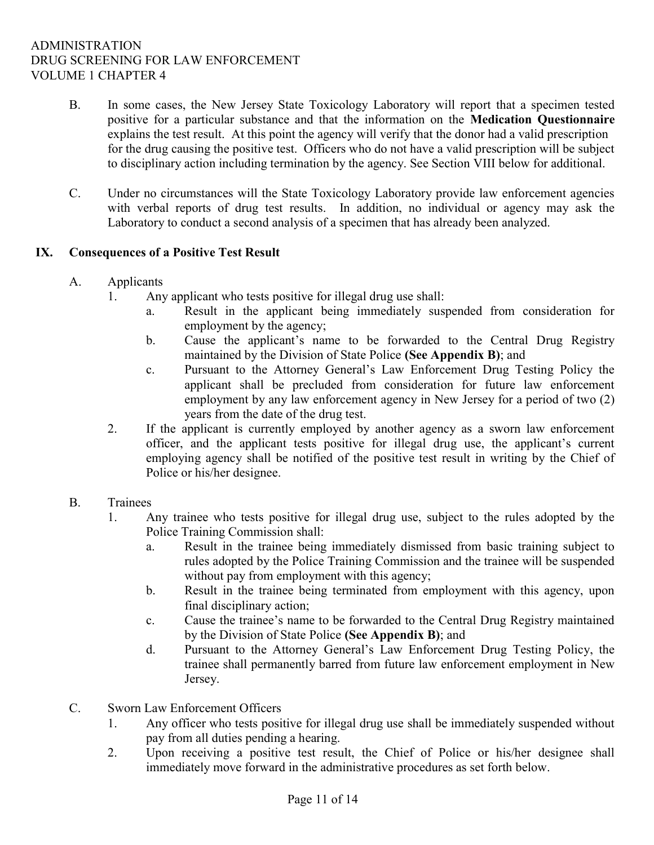- B. In some cases, the New Jersey State Toxicology Laboratory will report that a specimen tested positive for a particular substance and that the information on the Medication Questionnaire explains the test result. At this point the agency will verify that the donor had a valid prescription for the drug causing the positive test. Officers who do not have a valid prescription will be subject to disciplinary action including termination by the agency. See Section VIII below for additional.
- C. Under no circumstances will the State Toxicology Laboratory provide law enforcement agencies with verbal reports of drug test results. In addition, no individual or agency may ask the Laboratory to conduct a second analysis of a specimen that has already been analyzed.

### IX. Consequences of a Positive Test Result

- A. Applicants
	- 1. Any applicant who tests positive for illegal drug use shall:
		- a. Result in the applicant being immediately suspended from consideration for employment by the agency;
		- b. Cause the applicant's name to be forwarded to the Central Drug Registry maintained by the Division of State Police (See Appendix B); and
		- c. Pursuant to the Attorney General's Law Enforcement Drug Testing Policy the applicant shall be precluded from consideration for future law enforcement employment by any law enforcement agency in New Jersey for a period of two (2) years from the date of the drug test.
	- 2. If the applicant is currently employed by another agency as a sworn law enforcement officer, and the applicant tests positive for illegal drug use, the applicant's current employing agency shall be notified of the positive test result in writing by the Chief of Police or his/her designee.
- B. Trainees
	- 1. Any trainee who tests positive for illegal drug use, subject to the rules adopted by the Police Training Commission shall:
		- a. Result in the trainee being immediately dismissed from basic training subject to rules adopted by the Police Training Commission and the trainee will be suspended without pay from employment with this agency;
		- b. Result in the trainee being terminated from employment with this agency, upon final disciplinary action;
		- c. Cause the trainee's name to be forwarded to the Central Drug Registry maintained by the Division of State Police (See Appendix B); and
		- d. Pursuant to the Attorney General's Law Enforcement Drug Testing Policy, the trainee shall permanently barred from future law enforcement employment in New Jersey.
- C. Sworn Law Enforcement Officers
	- 1. Any officer who tests positive for illegal drug use shall be immediately suspended without pay from all duties pending a hearing.
	- 2. Upon receiving a positive test result, the Chief of Police or his/her designee shall immediately move forward in the administrative procedures as set forth below.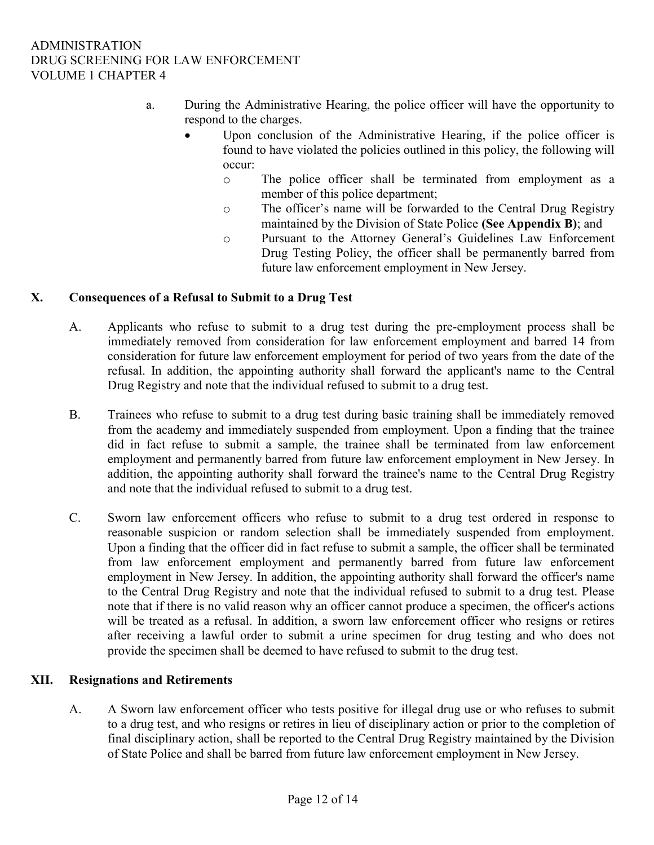- a. During the Administrative Hearing, the police officer will have the opportunity to respond to the charges.
	- Upon conclusion of the Administrative Hearing, if the police officer is found to have violated the policies outlined in this policy, the following will occur:
		- o The police officer shall be terminated from employment as a member of this police department;
		- o The officer's name will be forwarded to the Central Drug Registry maintained by the Division of State Police (See Appendix B); and
		- o Pursuant to the Attorney General's Guidelines Law Enforcement Drug Testing Policy, the officer shall be permanently barred from future law enforcement employment in New Jersey.

### X. Consequences of a Refusal to Submit to a Drug Test

- A. Applicants who refuse to submit to a drug test during the pre-employment process shall be immediately removed from consideration for law enforcement employment and barred 14 from consideration for future law enforcement employment for period of two years from the date of the refusal. In addition, the appointing authority shall forward the applicant's name to the Central Drug Registry and note that the individual refused to submit to a drug test.
- B. Trainees who refuse to submit to a drug test during basic training shall be immediately removed from the academy and immediately suspended from employment. Upon a finding that the trainee did in fact refuse to submit a sample, the trainee shall be terminated from law enforcement employment and permanently barred from future law enforcement employment in New Jersey. In addition, the appointing authority shall forward the trainee's name to the Central Drug Registry and note that the individual refused to submit to a drug test.
- C. Sworn law enforcement officers who refuse to submit to a drug test ordered in response to reasonable suspicion or random selection shall be immediately suspended from employment. Upon a finding that the officer did in fact refuse to submit a sample, the officer shall be terminated from law enforcement employment and permanently barred from future law enforcement employment in New Jersey. In addition, the appointing authority shall forward the officer's name to the Central Drug Registry and note that the individual refused to submit to a drug test. Please note that if there is no valid reason why an officer cannot produce a specimen, the officer's actions will be treated as a refusal. In addition, a sworn law enforcement officer who resigns or retires after receiving a lawful order to submit a urine specimen for drug testing and who does not provide the specimen shall be deemed to have refused to submit to the drug test.

## XII. Resignations and Retirements

A. A Sworn law enforcement officer who tests positive for illegal drug use or who refuses to submit to a drug test, and who resigns or retires in lieu of disciplinary action or prior to the completion of final disciplinary action, shall be reported to the Central Drug Registry maintained by the Division of State Police and shall be barred from future law enforcement employment in New Jersey.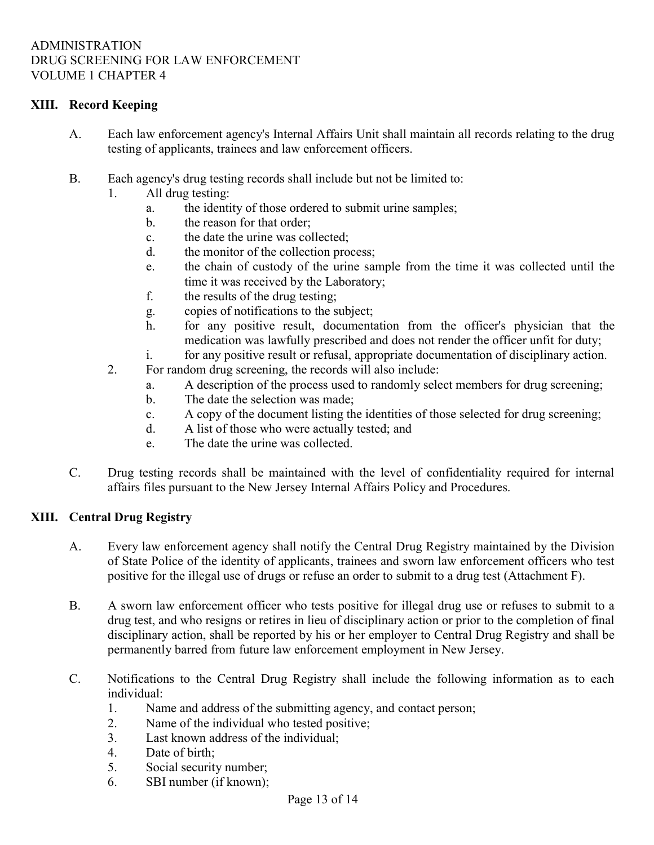## XIII. Record Keeping

- A. Each law enforcement agency's Internal Affairs Unit shall maintain all records relating to the drug testing of applicants, trainees and law enforcement officers.
- B. Each agency's drug testing records shall include but not be limited to:
	- 1. All drug testing:
		- a. the identity of those ordered to submit urine samples;
		- b. the reason for that order;
		- c. the date the urine was collected;
		- d. the monitor of the collection process;
		- e. the chain of custody of the urine sample from the time it was collected until the time it was received by the Laboratory;
		- f. the results of the drug testing;
		- g. copies of notifications to the subject;
		- h. for any positive result, documentation from the officer's physician that the medication was lawfully prescribed and does not render the officer unfit for duty;
		- i. for any positive result or refusal, appropriate documentation of disciplinary action.
	- 2. For random drug screening, the records will also include:
		- a. A description of the process used to randomly select members for drug screening;
		- b. The date the selection was made;
		- c. A copy of the document listing the identities of those selected for drug screening;
		- d. A list of those who were actually tested; and
		- e. The date the urine was collected.
- C. Drug testing records shall be maintained with the level of confidentiality required for internal affairs files pursuant to the New Jersey Internal Affairs Policy and Procedures.

### XIII. Central Drug Registry

- A. Every law enforcement agency shall notify the Central Drug Registry maintained by the Division of State Police of the identity of applicants, trainees and sworn law enforcement officers who test positive for the illegal use of drugs or refuse an order to submit to a drug test (Attachment F).
- B. A sworn law enforcement officer who tests positive for illegal drug use or refuses to submit to a drug test, and who resigns or retires in lieu of disciplinary action or prior to the completion of final disciplinary action, shall be reported by his or her employer to Central Drug Registry and shall be permanently barred from future law enforcement employment in New Jersey.
- C. Notifications to the Central Drug Registry shall include the following information as to each individual:
	- 1. Name and address of the submitting agency, and contact person;
	- 2. Name of the individual who tested positive;
	- 3. Last known address of the individual;
	- 4. Date of birth;
	- 5. Social security number;
	- 6. SBI number (if known);